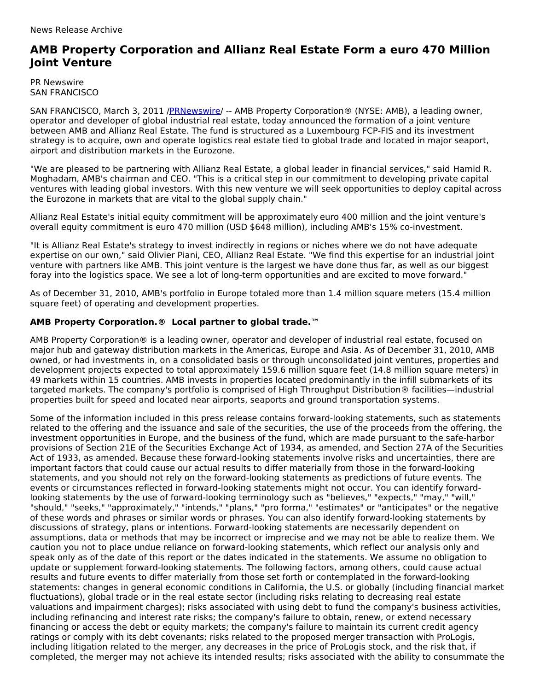## **AMB Property Corporation and Allianz Real Estate Form a euro 470 Million Joint Venture**

PR Newswire SAN FRANCISCO

SAN FRANCISCO, March 3, 2011 [/PRNewswire](http://www.prnewswire.com/)/ -- AMB Property Corporation® (NYSE: AMB), a leading owner, operator and developer of global industrial real estate, today announced the formation of a joint venture between AMB and Allianz Real Estate. The fund is structured as a Luxembourg FCP-FIS and its investment strategy is to acquire, own and operate logistics real estate tied to global trade and located in major seaport, airport and distribution markets in the Eurozone.

"We are pleased to be partnering with Allianz Real Estate, a global leader in financial services," said Hamid R. Moghadam, AMB's chairman and CEO. "This is a critical step in our commitment to developing private capital ventures with leading global investors. With this new venture we will seek opportunities to deploy capital across the Eurozone in markets that are vital to the global supply chain."

Allianz Real Estate's initial equity commitment will be approximately euro 400 million and the joint venture's overall equity commitment is euro 470 million (USD \$648 million), including AMB's 15% co-investment.

"It is Allianz Real Estate's strategy to invest indirectly in regions or niches where we do not have adequate expertise on our own," said Olivier Piani, CEO, Allianz Real Estate. "We find this expertise for an industrial joint venture with partners like AMB. This joint venture is the largest we have done thus far, as well as our biggest foray into the logistics space. We see a lot of long-term opportunities and are excited to move forward."

As of December 31, 2010, AMB's portfolio in Europe totaled more than 1.4 million square meters (15.4 million square feet) of operating and development properties.

## **AMB Property Corporation.® Local partner to global trade.™**

AMB Property Corporation® is a leading owner, operator and developer of industrial real estate, focused on major hub and gateway distribution markets in the Americas, Europe and Asia. As of December 31, 2010, AMB owned, or had investments in, on a consolidated basis or through unconsolidated joint ventures, properties and development projects expected to total approximately 159.6 million square feet (14.8 million square meters) in 49 markets within 15 countries. AMB invests in properties located predominantly in the infill submarkets of its targeted markets. The company's portfolio is comprised of High Throughput Distribution® facilities—industrial properties built for speed and located near airports, seaports and ground transportation systems.

Some of the information included in this press release contains forward-looking statements, such as statements related to the offering and the issuance and sale of the securities, the use of the proceeds from the offering, the investment opportunities in Europe, and the business of the fund, which are made pursuant to the safe-harbor provisions of Section 21E of the Securities Exchange Act of 1934, as amended, and Section 27A of the Securities Act of 1933, as amended. Because these forward-looking statements involve risks and uncertainties, there are important factors that could cause our actual results to differ materially from those in the forward-looking statements, and you should not rely on the forward-looking statements as predictions of future events. The events or circumstances reflected in forward-looking statements might not occur. You can identify forwardlooking statements by the use of forward-looking terminology such as "believes," "expects," "may," "will," "should," "seeks," "approximately," "intends," "plans," "pro forma," "estimates" or "anticipates" or the negative of these words and phrases or similar words or phrases. You can also identify forward-looking statements by discussions of strategy, plans or intentions. Forward-looking statements are necessarily dependent on assumptions, data or methods that may be incorrect or imprecise and we may not be able to realize them. We caution you not to place undue reliance on forward-looking statements, which reflect our analysis only and speak only as of the date of this report or the dates indicated in the statements. We assume no obligation to update or supplement forward-looking statements. The following factors, among others, could cause actual results and future events to differ materially from those set forth or contemplated in the forward-looking statements: changes in general economic conditions in California, the U.S. or globally (including financial market fluctuations), global trade or in the real estate sector (including risks relating to decreasing real estate valuations and impairment charges); risks associated with using debt to fund the company's business activities, including refinancing and interest rate risks; the company's failure to obtain, renew, or extend necessary financing or access the debt or equity markets; the company's failure to maintain its current credit agency ratings or comply with its debt covenants; risks related to the proposed merger transaction with ProLogis, including litigation related to the merger, any decreases in the price of ProLogis stock, and the risk that, if completed, the merger may not achieve its intended results; risks associated with the ability to consummate the